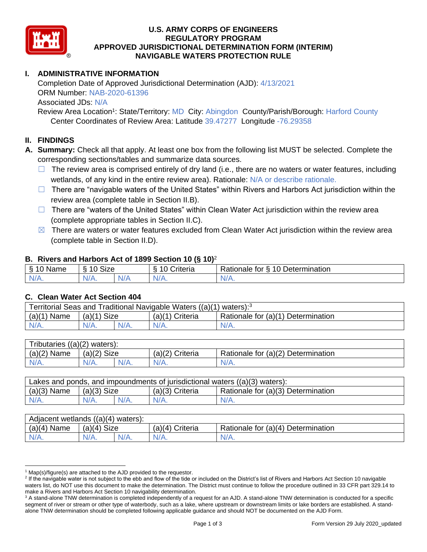

## **U.S. ARMY CORPS OF ENGINEERS REGULATORY PROGRAM APPROVED JURISDICTIONAL DETERMINATION FORM (INTERIM) NAVIGABLE WATERS PROTECTION RULE**

# **I. ADMINISTRATIVE INFORMATION**

Completion Date of Approved Jurisdictional Determination (AJD): 4/13/2021 ORM Number: NAB-2020-61396 Associated JDs: N/A

Review Area Location<sup>1</sup>: State/Territory: MD City: Abingdon County/Parish/Borough: Harford County Center Coordinates of Review Area: Latitude 39.47277 Longitude -76.29358

### **II. FINDINGS**

**A. Summary:** Check all that apply. At least one box from the following list MUST be selected. Complete the corresponding sections/tables and summarize data sources.

- $\Box$  The review area is comprised entirely of dry land (i.e., there are no waters or water features, including wetlands, of any kind in the entire review area). Rationale: N/A or describe rationale.
- $\Box$  There are "navigable waters of the United States" within Rivers and Harbors Act jurisdiction within the review area (complete table in Section II.B).
- ☐ There are "waters of the United States" within Clean Water Act jurisdiction within the review area (complete appropriate tables in Section II.C).
- $\boxtimes$  There are waters or water features excluded from Clean Water Act jurisdiction within the review area (complete table in Section II.D).

### **B. Rivers and Harbors Act of 1899 Section 10 (§ 10)**<sup>2</sup>

| -S<br>$\sim$<br>Name<br>υ | Size<br>$\sim$<br>c |     | ⌒<br>$\sim$<br>`riteria | 10<br>$\overline{\phantom{a}}$<br>-<br><b>Jetermination</b><br>⊀atıonale<br>tor<br>ٮ |
|---------------------------|---------------------|-----|-------------------------|--------------------------------------------------------------------------------------|
| $N/A$ .                   | $N/A$ .             | N/F | N/A.                    | N/A.                                                                                 |

### **C. Clean Water Act Section 404**

| Territorial Seas and Traditional Navigable Waters ((a)(1) waters): <sup>3</sup> |                |  |                   |                                    |  |
|---------------------------------------------------------------------------------|----------------|--|-------------------|------------------------------------|--|
| (a)(1)<br>Name                                                                  | Size<br>(a)(1) |  | $(a)(1)$ Criteria | Rationale for (a)(1) Determination |  |
|                                                                                 | $N/A$ .        |  | $N/A$ .           | $N/A$ .                            |  |

| Tributaries<br>$((a)(2)$ waters): |                |  |                   |                                    |  |  |
|-----------------------------------|----------------|--|-------------------|------------------------------------|--|--|
| (a)(2)<br>Name                    | (a)(2)<br>Size |  | $(a)(2)$ Criteria | Rationale for (a)(2) Determination |  |  |
| $N/A$ .                           | $N/A$ .        |  | $N/A$ .           | N/A.                               |  |  |

| Lakes and ponds, and impoundments of jurisdictional waters ((a)(3) waters): |               |         |                 |                                    |  |
|-----------------------------------------------------------------------------|---------------|---------|-----------------|------------------------------------|--|
| $(a)(3)$ Name                                                               | $(a)(3)$ Size |         | (a)(3) Criteria | Rationale for (a)(3) Determination |  |
| $N/A$ .                                                                     |               | $N/A$ . | $N/A$ .         | $N/A$ .                            |  |

| Adjacent wetlands $((a)(4))$<br>waters): |                       |         |                    |                                    |  |  |
|------------------------------------------|-----------------------|---------|--------------------|------------------------------------|--|--|
| (a)(4)<br>Name                           | <b>Size</b><br>(a)(4) |         | (a)(4)<br>Criteria | Rationale for (a)(4) Determination |  |  |
| N/A.                                     | $N/A$ .               | $N/A$ . | N/A.               | $N/A$ .                            |  |  |

 $1$  Map(s)/figure(s) are attached to the AJD provided to the requestor.

<sup>&</sup>lt;sup>2</sup> If the navigable water is not subject to the ebb and flow of the tide or included on the District's list of Rivers and Harbors Act Section 10 navigable waters list, do NOT use this document to make the determination. The District must continue to follow the procedure outlined in 33 CFR part 329.14 to make a Rivers and Harbors Act Section 10 navigability determination.

<sup>&</sup>lt;sup>3</sup> A stand-alone TNW determination is completed independently of a request for an AJD. A stand-alone TNW determination is conducted for a specific segment of river or stream or other type of waterbody, such as a lake, where upstream or downstream limits or lake borders are established. A standalone TNW determination should be completed following applicable guidance and should NOT be documented on the AJD Form.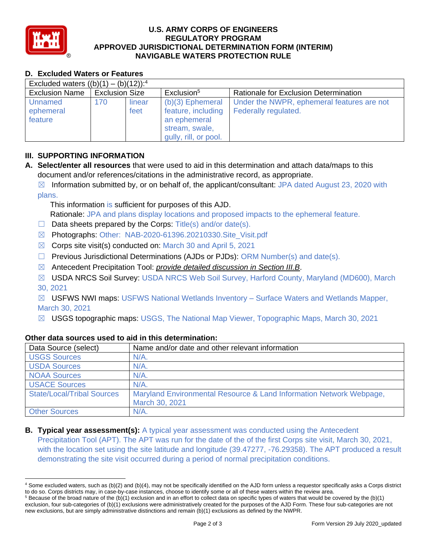

## **U.S. ARMY CORPS OF ENGINEERS REGULATORY PROGRAM APPROVED JURISDICTIONAL DETERMINATION FORM (INTERIM) NAVIGABLE WATERS PROTECTION RULE**

# **D. Excluded Waters or Features**

| Excluded waters $((b)(1) - (b)(12))$ : <sup>4</sup> |                       |        |                        |                                              |  |
|-----------------------------------------------------|-----------------------|--------|------------------------|----------------------------------------------|--|
| <b>Exclusion Name</b>                               | <b>Exclusion Size</b> |        | Exclusion <sup>5</sup> | <b>Rationale for Exclusion Determination</b> |  |
| Unnamed                                             | 170                   | linear | $(b)(3)$ Ephemeral     | Under the NWPR, ephemeral features are not   |  |
| ephemeral                                           |                       | feet   | feature, including     | Federally regulated.                         |  |
| feature                                             |                       |        | an ephemeral           |                                              |  |
|                                                     |                       |        | stream, swale,         |                                              |  |
|                                                     |                       |        | gully, rill, or pool.  |                                              |  |

## **III. SUPPORTING INFORMATION**

**A. Select/enter all resources** that were used to aid in this determination and attach data/maps to this document and/or references/citations in the administrative record, as appropriate.

 $\boxtimes$  Information submitted by, or on behalf of, the applicant/consultant: JPA dated August 23, 2020 with plans.

This information is sufficient for purposes of this AJD. Rationale: JPA and plans display locations and proposed impacts to the ephemeral feature.

- $\Box$  Data sheets prepared by the Corps: Title(s) and/or date(s).
- ☒ Photographs: Other: NAB-2020-61396.20210330.Site\_Visit.pdf
- $\boxtimes$  Corps site visit(s) conducted on: March 30 and April 5, 2021
- $\Box$  Previous Jurisdictional Determinations (AJDs or PJDs): ORM Number(s) and date(s).
- ☒ Antecedent Precipitation Tool: *provide detailed discussion in Section III.B*.
- ☒ USDA NRCS Soil Survey: USDA NRCS Web Soil Survey, Harford County, Maryland (MD600), March 30, 2021

 $\boxtimes$  USFWS NWI maps: USFWS National Wetlands Inventory – Surface Waters and Wetlands Mapper, March 30, 2021

☒ USGS topographic maps: USGS, The National Map Viewer, Topographic Maps, March 30, 2021

| Data Source (select)              | Name and/or date and other relevant information                                       |
|-----------------------------------|---------------------------------------------------------------------------------------|
| <b>USGS Sources</b>               | $N/A$ .                                                                               |
| <b>USDA Sources</b>               | N/A.                                                                                  |
| <b>NOAA Sources</b>               | N/A.                                                                                  |
| <b>USACE Sources</b>              | $N/A$ .                                                                               |
| <b>State/Local/Tribal Sources</b> | Maryland Environmental Resource & Land Information Network Webpage,<br>March 30, 2021 |
| <b>Other Sources</b>              | N/A.                                                                                  |

### **Other data sources used to aid in this determination:**

**B. Typical year assessment(s):** A typical year assessment was conducted using the Antecedent Precipitation Tool (APT). The APT was run for the date of the of the first Corps site visit, March 30, 2021, with the location set using the site latitude and longitude (39.47277, -76.29358). The APT produced a result demonstrating the site visit occurred during a period of normal precipitation conditions.

<sup>4</sup> Some excluded waters, such as (b)(2) and (b)(4), may not be specifically identified on the AJD form unless a requestor specifically asks a Corps district to do so. Corps districts may, in case-by-case instances, choose to identify some or all of these waters within the review area.

 $5$  Because of the broad nature of the (b)(1) exclusion and in an effort to collect data on specific types of waters that would be covered by the (b)(1) exclusion, four sub-categories of (b)(1) exclusions were administratively created for the purposes of the AJD Form. These four sub-categories are not new exclusions, but are simply administrative distinctions and remain (b)(1) exclusions as defined by the NWPR.